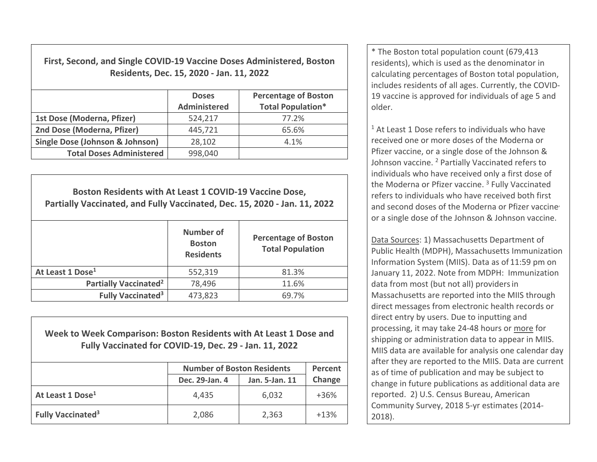**First, Second, and Single COVID‐19 Vaccine Doses Administered, Boston Residents, Dec. 15, 2020 ‐ Jan. 11, 2022**

|                                 | <b>Doses</b><br><b>Administered</b> | <b>Percentage of Boston</b><br><b>Total Population*</b> |  |
|---------------------------------|-------------------------------------|---------------------------------------------------------|--|
| 1st Dose (Moderna, Pfizer)      | 524,217                             | 77.2%                                                   |  |
| 2nd Dose (Moderna, Pfizer)      | 445,721                             | 65.6%                                                   |  |
| Single Dose (Johnson & Johnson) | 28,102                              | 4.1%                                                    |  |
| <b>Total Doses Administered</b> | 998,040                             |                                                         |  |

| Boston Residents with At Least 1 COVID-19 Vaccine Dose,<br>Partially Vaccinated, and Fully Vaccinated, Dec. 15, 2020 - Jan. 11, 2022 |                                                |                                                        |  |  |  |
|--------------------------------------------------------------------------------------------------------------------------------------|------------------------------------------------|--------------------------------------------------------|--|--|--|
|                                                                                                                                      | Number of<br><b>Boston</b><br><b>Residents</b> | <b>Percentage of Boston</b><br><b>Total Population</b> |  |  |  |
| At Least 1 Dose <sup>1</sup>                                                                                                         | 552,319                                        | 81.3%                                                  |  |  |  |
| Partially Vaccinated <sup>2</sup>                                                                                                    | 78,496                                         | 11.6%                                                  |  |  |  |
| <b>Fully Vaccinated<sup>3</sup></b>                                                                                                  | 473,823                                        | 69.7%                                                  |  |  |  |

**Week to Week Comparison: Boston Residents with At Least 1 Dose andFully Vaccinated for COVID‐19, Dec. 29 ‐ Jan. 11, 2022**

|                                      | <b>Number of Boston Residents</b> | Percent        |        |
|--------------------------------------|-----------------------------------|----------------|--------|
|                                      | Dec. 29-Jan. 4                    | Jan. 5-Jan. 11 | Change |
| At Least 1 Dose <sup>1</sup>         | 4,435                             | 6,032          | $+36%$ |
| <b>Fully Vaccinated</b> <sup>3</sup> | 2,086                             | 2,363          | $+13%$ |

\* The Boston total population count (679,413 residents), which is used as the denominator in calculating percentages of Boston total population, includes residents of all ages. Currently, the COVID‐ 19 vaccine is approved for individuals of age 5 andolder.

 $1$  At Least 1 Dose refers to individuals who have received one or more doses of the Moderna or Pfizer vaccine, or <sup>a</sup> single dose of the Johnson & Johnson vaccine. <sup>2</sup> Partially Vaccinated refers to individuals who have received only <sup>a</sup> first dose of the Moderna or Pfizer vaccine. <sup>3</sup> Fully Vaccinated refers to individuals who have received both first and second doses of the Moderna or Pfizer vaccine, or a single dose of the Johnson & Johnson vaccine.

Data Sources: 1) Massachusetts Department of Public Health (MDPH), Massachusetts Immunization Information System (MIIS). Data as of 11:59 pm on January 11, 2022. Note from MDPH: Immunization data from most (but not all) providersin Massachusetts are reported into the MIIS through direct messages from electronic health records or direct entry by users. Due to inputting and processing, it may take 24‐48 hours or more for shipping or administration data to appear in MIIS. MIIS data are available for analysis one calendar day after they are reported to the MIIS. Data are current as of time of publication and may be subject to change in future publications as additional data are reported. 2) U.S. Census Bureau, American Community Survey, 2018 5‐yr estimates (2014‐ 2018).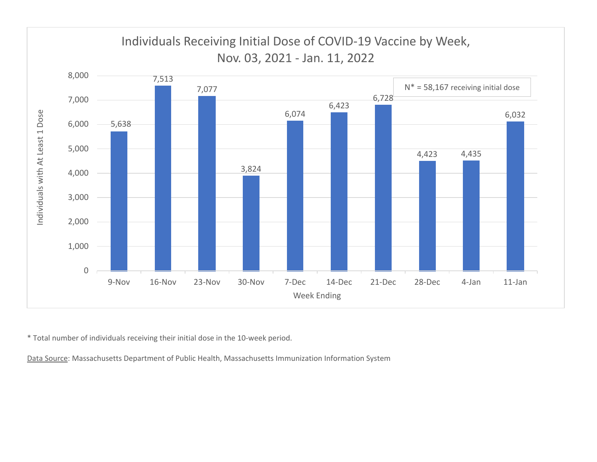

\* Total number of individuals receiving their initial dose in the 10‐week period.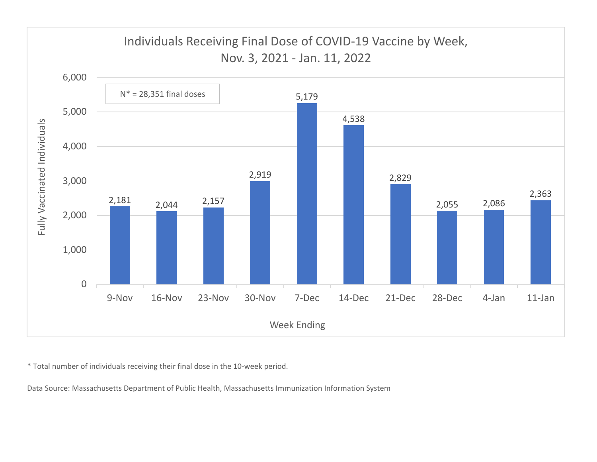

\* Total number of individuals receiving their final dose in the 10‐week period.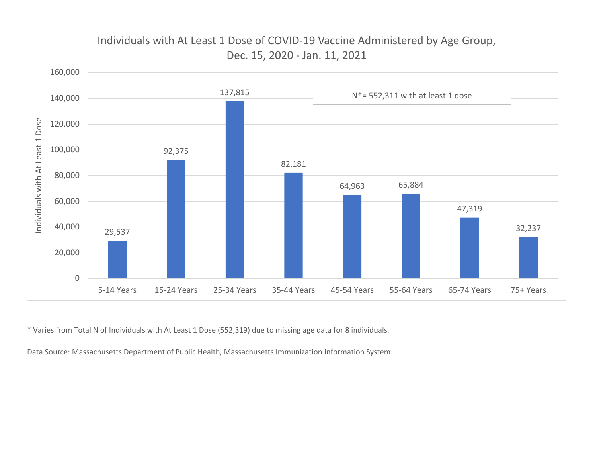

\* Varies from Total N of Individuals with At Least 1 Dose (552,319) due to missing age data for 8 individuals.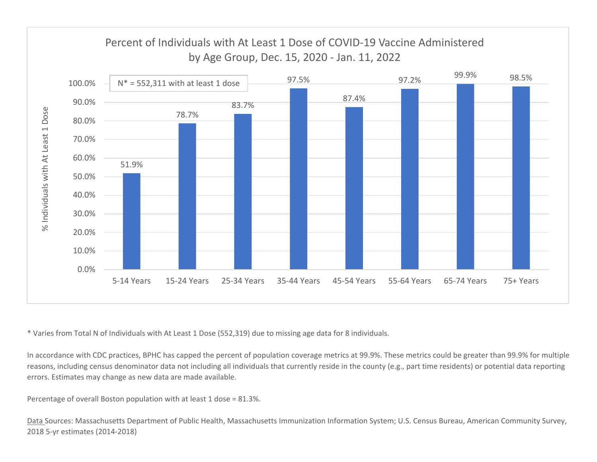

\* Varies from Total N of Individuals with At Least 1 Dose (552,319) due to missing age data for 8 individuals.

In accordance with CDC practices, BPHC has capped the percent of population coverage metrics at 99.9%. These metrics could be greater than 99.9% for multiple reasons, including census denominator data not including all individuals that currently reside in the county (e.g., part time residents) or potential data reporting errors. Estimates may change as new data are made available.

Percentage of overall Boston population with at least 1 dose <sup>=</sup> 81.3%.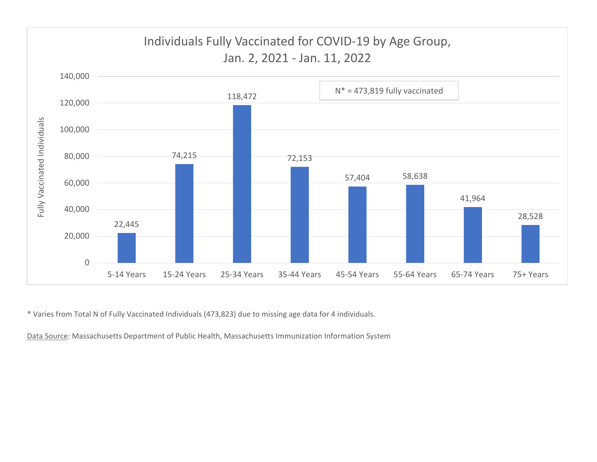

\* Varies from Total N of Fully Vaccinated Individuals (473,823) due to missing age data for 4 individuals.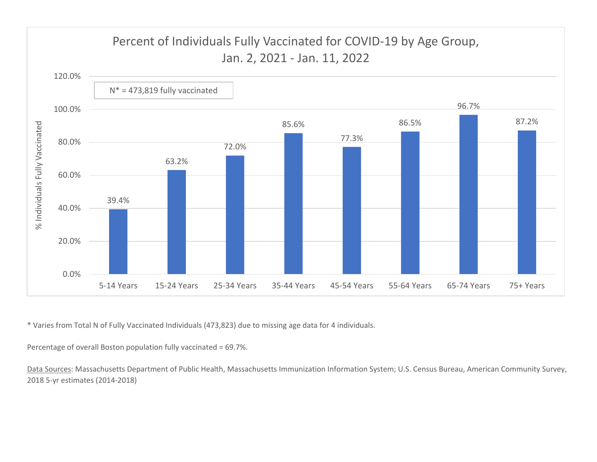

\* Varies from Total N of Fully Vaccinated Individuals (473,823) due to missing age data for 4 individuals.

Percentage of overall Boston population fully vaccinated <sup>=</sup> 69.7%.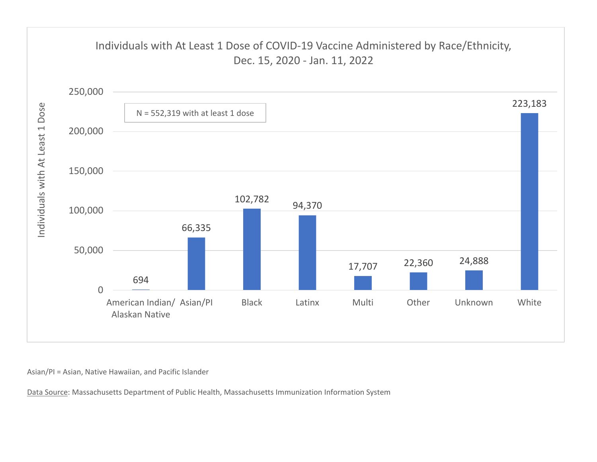

Asian/PI <sup>=</sup> Asian, Native Hawaiian, and Pacific Islander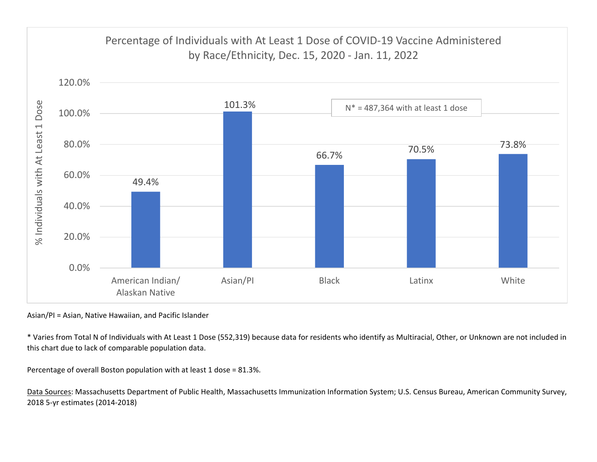

Asian/PI <sup>=</sup> Asian, Native Hawaiian, and Pacific Islander

\* Varies from Total N of Individuals with At Least 1 Dose (552,319) because data for residents who identify as Multiracial, Other, or Unknown are not included in this chart due to lack of comparable population data.

Percentage of overall Boston population with at least 1 dose <sup>=</sup> 81.3%.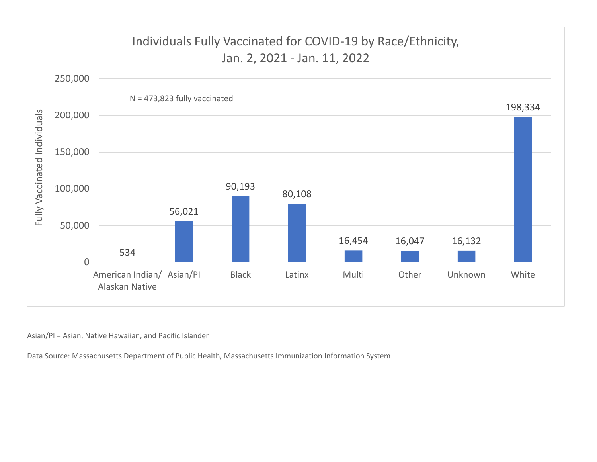

Asian/PI <sup>=</sup> Asian, Native Hawaiian, and Pacific Islander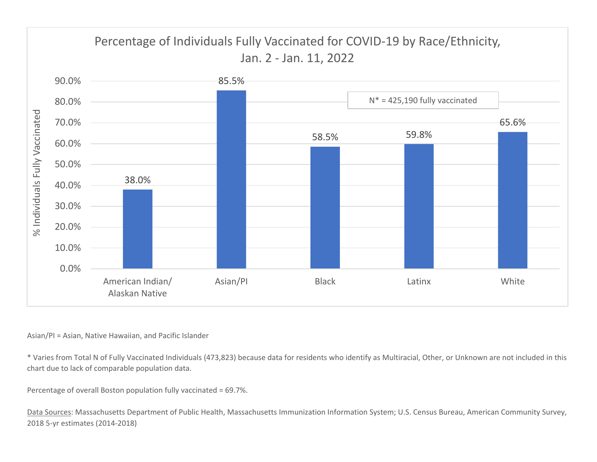

## Asian/PI <sup>=</sup> Asian, Native Hawaiian, and Pacific Islander

\* Varies from Total N of Fully Vaccinated Individuals (473,823) because data for residents who identify as Multiracial, Other, or Unknown are not included in this chart due to lack of comparable population data.

Percentage of overall Boston population fully vaccinated <sup>=</sup> 69.7%.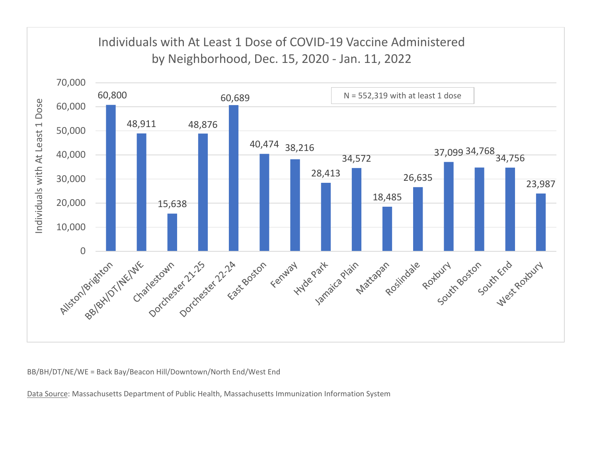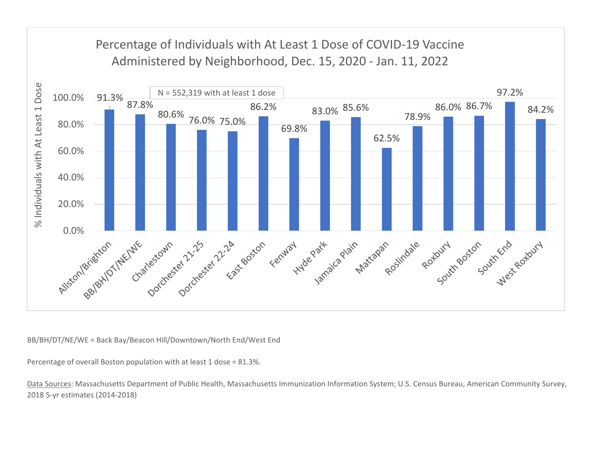

Percentage of overall Boston population with at least 1 dose <sup>=</sup> 81.3%.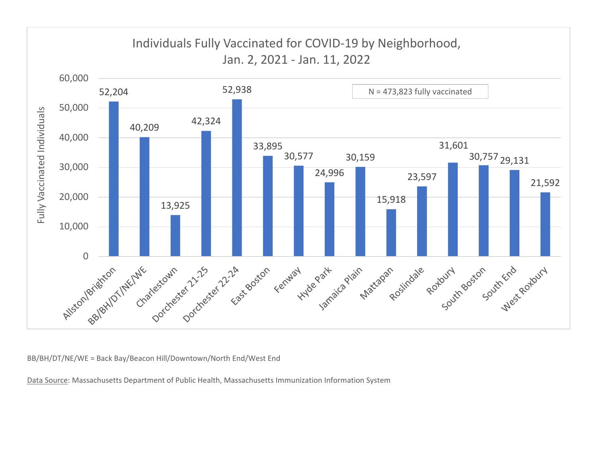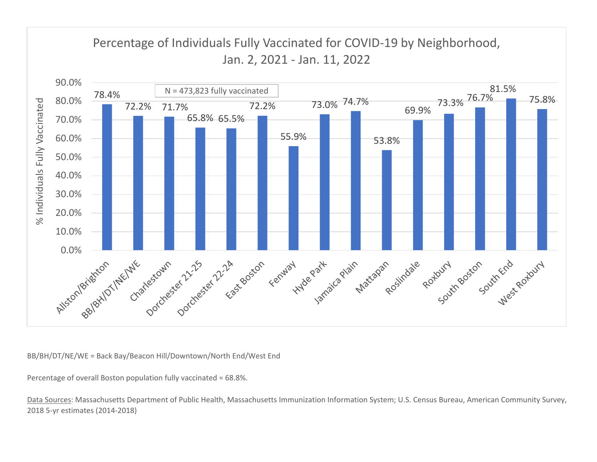

Percentage of overall Boston population fully vaccinated <sup>=</sup> 68.8%.